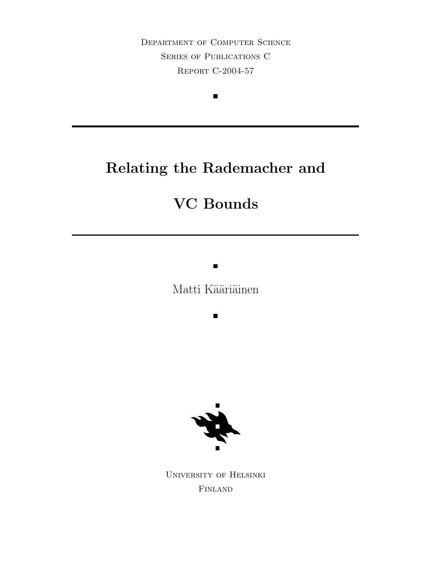Department of Computer Science Series of Publications C Report C-2004-57

 $\blacksquare$ 

# Relating the Rademacher and

# VC Bounds

Matti Kääriäinen

 $\blacksquare$ 

 $\blacksquare$ 

University of Helsinki Finland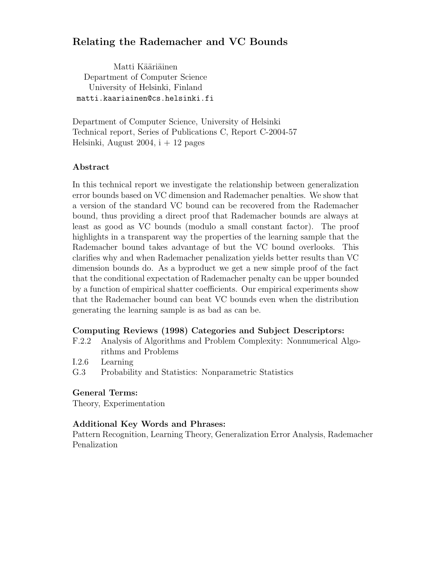### Relating the Rademacher and VC Bounds

Matti Kääriäinen Department of Computer Science University of Helsinki, Finland matti.kaariainen@cs.helsinki.fi

Department of Computer Science, University of Helsinki Technical report, Series of Publications C, Report C-2004-57 Helsinki, August 2004,  $i + 12$  pages

#### Abstract

In this technical report we investigate the relationship between generalization error bounds based on VC dimension and Rademacher penalties. We show that a version of the standard VC bound can be recovered from the Rademacher bound, thus providing a direct proof that Rademacher bounds are always at least as good as VC bounds (modulo a small constant factor). The proof highlights in a transparent way the properties of the learning sample that the Rademacher bound takes advantage of but the VC bound overlooks. This clarifies why and when Rademacher penalization yields better results than VC dimension bounds do. As a byproduct we get a new simple proof of the fact that the conditional expectation of Rademacher penalty can be upper bounded by a function of empirical shatter coefficients. Our empirical experiments show that the Rademacher bound can beat VC bounds even when the distribution generating the learning sample is as bad as can be.

#### Computing Reviews (1998) Categories and Subject Descriptors:

- F.2.2 Analysis of Algorithms and Problem Complexity: Nonnumerical Algorithms and Problems
- I.2.6 Learning
- G.3 Probability and Statistics: Nonparametric Statistics

#### General Terms:

Theory, Experimentation

#### Additional Key Words and Phrases:

Pattern Recognition, Learning Theory, Generalization Error Analysis, Rademacher Penalization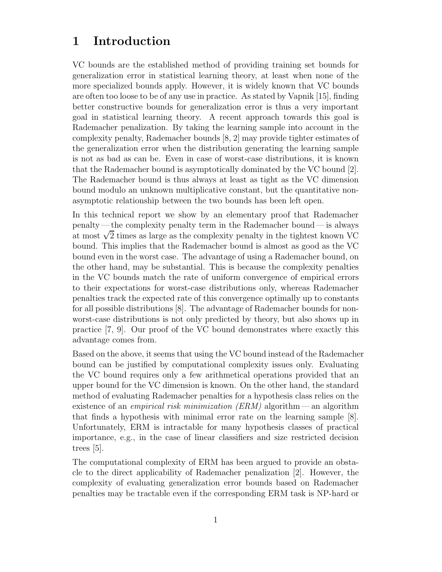### 1 Introduction

VC bounds are the established method of providing training set bounds for generalization error in statistical learning theory, at least when none of the more specialized bounds apply. However, it is widely known that VC bounds are often too loose to be of any use in practice. As stated by Vapnik [15], finding better constructive bounds for generalization error is thus a very important goal in statistical learning theory. A recent approach towards this goal is Rademacher penalization. By taking the learning sample into account in the complexity penalty, Rademacher bounds [8, 2] may provide tighter estimates of the generalization error when the distribution generating the learning sample is not as bad as can be. Even in case of worst-case distributions, it is known that the Rademacher bound is asymptotically dominated by the VC bound [2]. The Rademacher bound is thus always at least as tight as the VC dimension bound modulo an unknown multiplicative constant, but the quantitative nonasymptotic relationship between the two bounds has been left open.

In this technical report we show by an elementary proof that Rademacher penalty— the complexity penalty term in the Rademacher bound— is always at most  $\sqrt{2}$  times as large as the complexity penalty in the tightest known VC bound. This implies that the Rademacher bound is almost as good as the VC bound even in the worst case. The advantage of using a Rademacher bound, on the other hand, may be substantial. This is because the complexity penalties in the VC bounds match the rate of uniform convergence of empirical errors to their expectations for worst-case distributions only, whereas Rademacher penalties track the expected rate of this convergence optimally up to constants for all possible distributions [8]. The advantage of Rademacher bounds for nonworst-case distributions is not only predicted by theory, but also shows up in practice [7, 9]. Our proof of the VC bound demonstrates where exactly this advantage comes from.

Based on the above, it seems that using the VC bound instead of the Rademacher bound can be justified by computational complexity issues only. Evaluating the VC bound requires only a few arithmetical operations provided that an upper bound for the VC dimension is known. On the other hand, the standard method of evaluating Rademacher penalties for a hypothesis class relies on the existence of an *empirical risk minimization (ERM)* algorithm— an algorithm that finds a hypothesis with minimal error rate on the learning sample [8]. Unfortunately, ERM is intractable for many hypothesis classes of practical importance, e.g., in the case of linear classifiers and size restricted decision trees [5].

The computational complexity of ERM has been argued to provide an obstacle to the direct applicability of Rademacher penalization [2]. However, the complexity of evaluating generalization error bounds based on Rademacher penalties may be tractable even if the corresponding ERM task is NP-hard or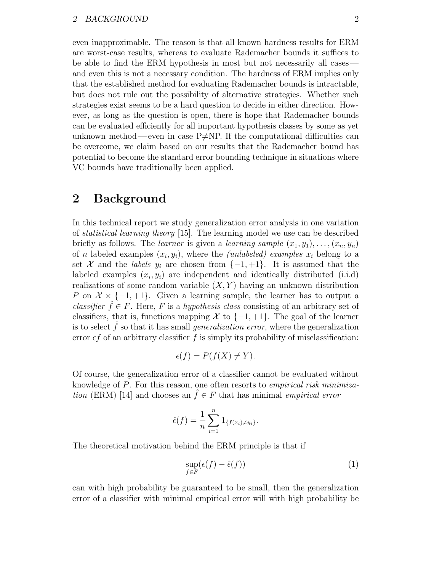#### 2 BACKGROUND 2

even inapproximable. The reason is that all known hardness results for ERM are worst-case results, whereas to evaluate Rademacher bounds it suffices to be able to find the ERM hypothesis in most but not necessarily all cases and even this is not a necessary condition. The hardness of ERM implies only that the established method for evaluating Rademacher bounds is intractable, but does not rule out the possibility of alternative strategies. Whether such strategies exist seems to be a hard question to decide in either direction. However, as long as the question is open, there is hope that Rademacher bounds can be evaluated efficiently for all important hypothesis classes by some as yet unknown method—even in case  $P\neq NP$ . If the computational difficulties can be overcome, we claim based on our results that the Rademacher bound has potential to become the standard error bounding technique in situations where VC bounds have traditionally been applied.

### 2 Background

In this technical report we study generalization error analysis in one variation of statistical learning theory [15]. The learning model we use can be described briefly as follows. The learner is given a learning sample  $(x_1, y_1), \ldots, (x_n, y_n)$ of *n* labeled examples  $(x_i, y_i)$ , where the *(unlabeled)* examples  $x_i$  belong to a set X and the *labels*  $y_i$  are chosen from  $\{-1, +1\}$ . It is assumed that the labeled examples  $(x_i, y_i)$  are independent and identically distributed (i.i.d) realizations of some random variable  $(X, Y)$  having an unknown distribution P on  $\mathcal{X} \times \{-1, +1\}$ . Given a learning sample, the learner has to output a classifier  $\hat{f} \in F$ . Here, F is a hypothesis class consisting of an arbitrary set of classifiers, that is, functions mapping X to  $\{-1, +1\}$ . The goal of the learner is to select  $\hat{f}$  so that it has small *generalization error*, where the generalization error  $\epsilon f$  of an arbitrary classifier f is simply its probability of misclassification:

$$
\epsilon(f) = P(f(X) \neq Y).
$$

Of course, the generalization error of a classifier cannot be evaluated without knowledge of P. For this reason, one often resorts to empirical risk minimization (ERM) [14] and chooses an  $\hat{f} \in F$  that has minimal empirical error

$$
\hat{\epsilon}(f) = \frac{1}{n} \sum_{i=1}^{n} 1_{\{f(x_i) \neq y_i\}}.
$$

The theoretical motivation behind the ERM principle is that if

$$
\sup_{f \in F} (\epsilon(f) - \hat{\epsilon}(f)) \tag{1}
$$

can with high probability be guaranteed to be small, then the generalization error of a classifier with minimal empirical error will with high probability be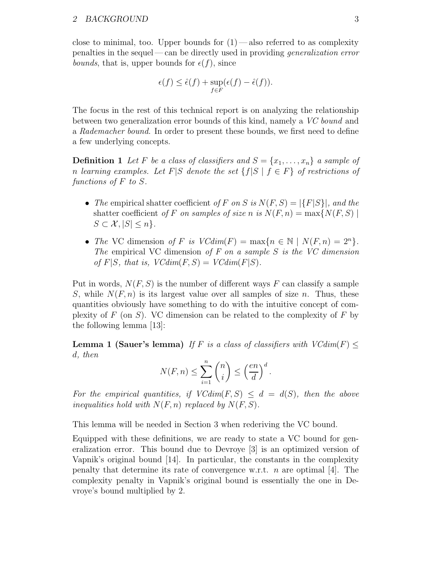close to minimal, too. Upper bounds for  $(1)$ —also referred to as complexity penalties in the sequel— can be directly used in providing generalization error *bounds*, that is, upper bounds for  $\epsilon(f)$ , since

$$
\epsilon(f) \leq \hat{\epsilon}(f) + \sup_{f \in F} (\epsilon(f) - \hat{\epsilon}(f)).
$$

The focus in the rest of this technical report is on analyzing the relationship between two generalization error bounds of this kind, namely a VC bound and a Rademacher bound. In order to present these bounds, we first need to define a few underlying concepts.

**Definition 1** Let F be a class of classifiers and  $S = \{x_1, \ldots, x_n\}$  a sample of n learning examples. Let F|S denote the set  $\{f|S \mid f \in F\}$  of restrictions of functions of F to S.

- The empirical shatter coefficient of F on S is  $N(F, S) = |\{F|S\}|$ , and the shatter coefficient of F on samples of size n is  $N(F, n) = \max\{N(F, S) \mid$  $S \subset \mathcal{X}, |S| \leq n$ .
- The VC dimension of F is  $VCdim(F) = \max\{n \in \mathbb{N} \mid N(F, n) = 2^n\}.$ The empirical VC dimension of  $F$  on a sample  $S$  is the VC dimension of  $F|S$ , that is,  $VCdim(F, S) = VCdim(F|S)$ .

Put in words,  $N(F, S)$  is the number of different ways F can classify a sample S, while  $N(F, n)$  is its largest value over all samples of size n. Thus, these quantities obviously have something to do with the intuitive concept of complexity of F (on S). VC dimension can be related to the complexity of F by the following lemma [13]:

**Lemma 1 (Sauer's lemma)** If F is a class of classifiers with  $VCdim(F) \leq$ d, then

$$
N(F, n) \le \sum_{i=1}^{n} {n \choose i} \le \left(\frac{en}{d}\right)^d.
$$

For the empirical quantities, if  $VCdim(F, S) \leq d = d(S)$ , then the above inequalities hold with  $N(F, n)$  replaced by  $N(F, S)$ .

This lemma will be needed in Section 3 when rederiving the VC bound.

Equipped with these definitions, we are ready to state a VC bound for generalization error. This bound due to Devroye [3] is an optimized version of Vapnik's original bound [14]. In particular, the constants in the complexity penalty that determine its rate of convergence w.r.t.  $n$  are optimal [4]. The complexity penalty in Vapnik's original bound is essentially the one in Devroye's bound multiplied by 2.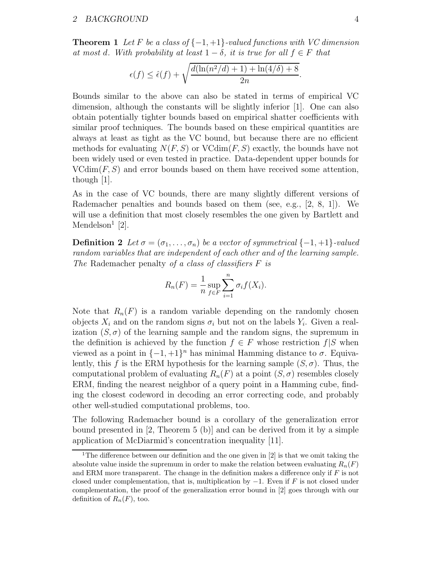**Theorem 1** Let F be a class of  $\{-1, +1\}$ -valued functions with VC dimension at most d. With probability at least  $1 - \delta$ , it is true for all  $f \in F$  that

$$
\epsilon(f) \le \hat{\epsilon}(f) + \sqrt{\frac{d(\ln(n^2/d) + 1) + \ln(4/\delta) + 8}{2n}}.
$$

Bounds similar to the above can also be stated in terms of empirical VC dimension, although the constants will be slightly inferior [1]. One can also obtain potentially tighter bounds based on empirical shatter coefficients with similar proof techniques. The bounds based on these empirical quantities are always at least as tight as the VC bound, but because there are no efficient methods for evaluating  $N(F, S)$  or  $V\text{Cdim}(F, S)$  exactly, the bounds have not been widely used or even tested in practice. Data-dependent upper bounds for  $VCdim(F, S)$  and error bounds based on them have received some attention, though [1].

As in the case of VC bounds, there are many slightly different versions of Rademacher penalties and bounds based on them (see, e.g.,  $[2, 8, 1]$ ). We will use a definition that most closely resembles the one given by Bartlett and Mendelson<sup>1</sup> [2].

**Definition 2** Let  $\sigma = (\sigma_1, \ldots, \sigma_n)$  be a vector of symmetrical  $\{-1, +1\}$ -valued random variables that are independent of each other and of the learning sample. The Rademacher penalty of a class of classifiers  $F$  is

$$
R_n(F) = \frac{1}{n} \sup_{f \in F} \sum_{i=1}^n \sigma_i f(X_i).
$$

Note that  $R_n(F)$  is a random variable depending on the randomly chosen objects  $X_i$  and on the random signs  $\sigma_i$  but not on the labels  $Y_i$ . Given a realization  $(S, \sigma)$  of the learning sample and the random signs, the supremum in the definition is achieved by the function  $f \in F$  whose restriction  $f|S$  when viewed as a point in  $\{-1, +1\}^n$  has minimal Hamming distance to  $\sigma$ . Equivalently, this f is the ERM hypothesis for the learning sample  $(S, \sigma)$ . Thus, the computational problem of evaluating  $R_n(F)$  at a point  $(S, \sigma)$  resembles closely ERM, finding the nearest neighbor of a query point in a Hamming cube, finding the closest codeword in decoding an error correcting code, and probably other well-studied computational problems, too.

The following Rademacher bound is a corollary of the generalization error bound presented in [2, Theorem 5 (b)] and can be derived from it by a simple application of McDiarmid's concentration inequality [11].

<sup>&</sup>lt;sup>1</sup>The difference between our definition and the one given in  $[2]$  is that we omit taking the absolute value inside the supremum in order to make the relation between evaluating  $R_n(F)$ and ERM more transparent. The change in the definition makes a difference only if  $F$  is not closed under complementation, that is, multiplication by  $-1$ . Even if F is not closed under complementation, the proof of the generalization error bound in [2] goes through with our definition of  $R_n(F)$ , too.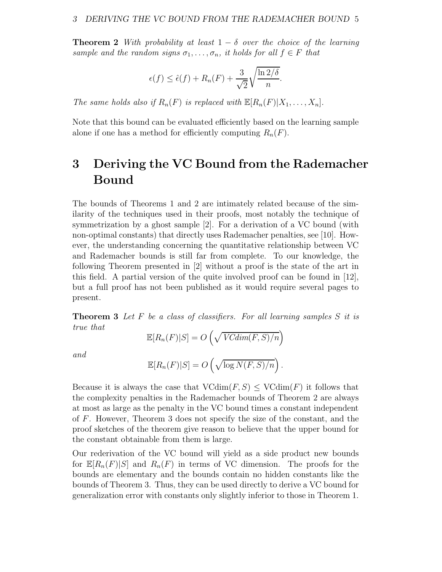**Theorem 2** With probability at least  $1 - \delta$  over the choice of the learning sample and the random signs  $\sigma_1, \ldots, \sigma_n$ , it holds for all  $f \in F$  that

$$
\epsilon(f) \le \hat{\epsilon}(f) + R_n(F) + \frac{3}{\sqrt{2}} \sqrt{\frac{\ln 2/\delta}{n}}.
$$

The same holds also if  $R_n(F)$  is replaced with  $\mathbb{E}[R_n(F)|X_1,\ldots,X_n].$ 

Note that this bound can be evaluated efficiently based on the learning sample alone if one has a method for efficiently computing  $R_n(F)$ .

## 3 Deriving the VC Bound from the Rademacher Bound

The bounds of Theorems 1 and 2 are intimately related because of the similarity of the techniques used in their proofs, most notably the technique of symmetrization by a ghost sample [2]. For a derivation of a VC bound (with non-optimal constants) that directly uses Rademacher penalties, see [10]. However, the understanding concerning the quantitative relationship between VC and Rademacher bounds is still far from complete. To our knowledge, the following Theorem presented in [2] without a proof is the state of the art in this field. A partial version of the quite involved proof can be found in [12], but a full proof has not been published as it would require several pages to present.

**Theorem 3** Let  $F$  be a class of classifiers. For all learning samples  $S$  it is true that

$$
\mathbb{E}[R_n(F)|S] = O\left(\sqrt{VCdim(F,S)/n}\right)
$$

and

$$
\mathbb{E}[R_n(F)|S] = O\left(\sqrt{\log N(F,S)/n}\right).
$$

Because it is always the case that  $\text{VCdim}(F, S) \leq \text{VCdim}(F)$  it follows that the complexity penalties in the Rademacher bounds of Theorem 2 are always at most as large as the penalty in the VC bound times a constant independent of F. However, Theorem 3 does not specify the size of the constant, and the proof sketches of the theorem give reason to believe that the upper bound for the constant obtainable from them is large.

Our rederivation of the VC bound will yield as a side product new bounds for  $\mathbb{E}[R_n(F)|S]$  and  $R_n(F)$  in terms of VC dimension. The proofs for the bounds are elementary and the bounds contain no hidden constants like the bounds of Theorem 3. Thus, they can be used directly to derive a VC bound for generalization error with constants only slightly inferior to those in Theorem 1.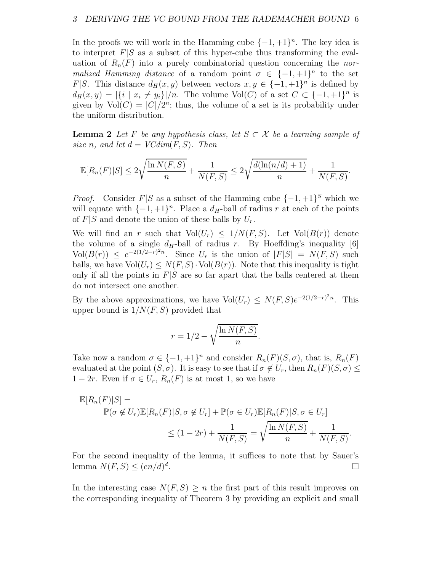In the proofs we will work in the Hamming cube  $\{-1, +1\}^n$ . The key idea is to interpret  $F|S$  as a subset of this hyper-cube thus transforming the evaluation of  $R_n(F)$  into a purely combinatorial question concerning the normalized Hamming distance of a random point  $\sigma \in \{-1, +1\}^n$  to the set F|S. This distance  $d_H(x, y)$  between vectors  $x, y \in \{-1, +1\}^n$  is defined by  $d_H(x,y) = |\{i \mid x_i \neq y_i\}|/n$ . The volume Vol(C) of a set  $C \subset \{-1, +1\}^n$  is given by  $\text{Vol}(C) = |C|/2^n$ ; thus, the volume of a set is its probability under the uniform distribution.

**Lemma 2** Let F be any hypothesis class, let  $S \subset \mathcal{X}$  be a learning sample of size n, and let  $d = VCdim(F, S)$ . Then

$$
\mathbb{E}[R_n(F)|S] \le 2\sqrt{\frac{\ln N(F,S)}{n}} + \frac{1}{N(F,S)} \le 2\sqrt{\frac{d(\ln(n/d) + 1)}{n}} + \frac{1}{N(F,S)}.
$$

*Proof.* Consider  $F|S$  as a subset of the Hamming cube  $\{-1, +1\}^S$  which we will equate with  $\{-1, +1\}^n$ . Place a  $d_H$ -ball of radius r at each of the points of  $F|S$  and denote the union of these balls by  $U_r$ .

We will find an r such that  $Vol(U_r) \leq 1/N(F, S)$ . Let  $Vol(B(r))$  denote the volume of a single  $d_H$ -ball of radius r. By Hoeffding's inequality [6]  $Vol(B(r)) \leq e^{-2(1/2-r)^2n}$ . Since  $U_r$  is the union of  $|F|S| = N(F, S)$  such balls, we have  $\text{Vol}(U_r) \leq N(F, S) \cdot \text{Vol}(B(r))$ . Note that this inequality is tight only if all the points in  $F|S$  are so far apart that the balls centered at them do not intersect one another.

By the above approximations, we have  $\text{Vol}(U_r) \leq N(F, S)e^{-2(1/2-r)^2n}$ . This upper bound is  $1/N(F, S)$  provided that

$$
r = 1/2 - \sqrt{\frac{\ln N(F, S)}{n}}.
$$

Take now a random  $\sigma \in \{-1, +1\}^n$  and consider  $R_n(F)(S, \sigma)$ , that is,  $R_n(F)$ evaluated at the point  $(S, \sigma)$ . It is easy to see that if  $\sigma \notin U_r$ , then  $R_n(F)(S, \sigma) \leq$  $1 - 2r$ . Even if  $\sigma \in U_r$ ,  $R_n(F)$  is at most 1, so we have

$$
\mathbb{E}[R_n(F)|S] =
$$
  
\n
$$
\mathbb{P}(\sigma \notin U_r)\mathbb{E}[R_n(F)|S, \sigma \notin U_r] + \mathbb{P}(\sigma \in U_r)\mathbb{E}[R_n(F)|S, \sigma \in U_r]
$$
  
\n
$$
\leq (1 - 2r) + \frac{1}{N(F,S)} = \sqrt{\frac{\ln N(F,S)}{n}} + \frac{1}{N(F,S)}.
$$

For the second inequality of the lemma, it suffices to note that by Sauer's lemma  $N(F, S) \leq (en/d)^d$ .

In the interesting case  $N(F, S) \geq n$  the first part of this result improves on the corresponding inequality of Theorem 3 by providing an explicit and small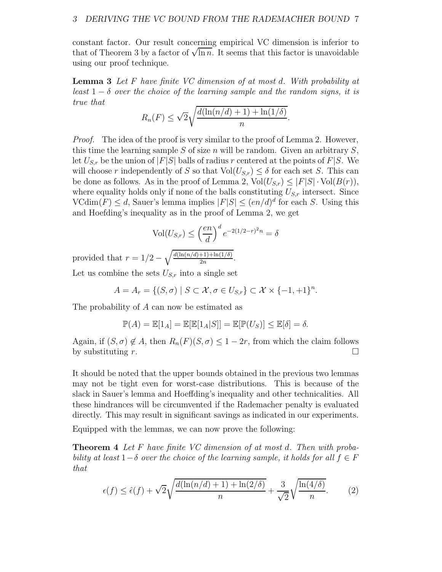constant factor. Our result concerning empirical VC dimension is inferior to that of Theorem 3 by a factor of  $\sqrt{\ln n}$ . It seems that this factor is unavoidable using our proof technique.

**Lemma 3** Let F have finite VC dimension of at most d. With probability at least  $1 - \delta$  over the choice of the learning sample and the random signs, it is true that

$$
R_n(F) \le \sqrt{2} \sqrt{\frac{d(\ln(n/d) + 1) + \ln(1/\delta)}{n}}.
$$

Proof. The idea of the proof is very similar to the proof of Lemma 2. However, this time the learning sample S of size n will be random. Given an arbitrary  $S$ , let  $U_{S,r}$  be the union of  $|F|S|$  balls of radius r centered at the points of  $F|S$ . We will choose r independently of S so that  $Vol(U_{S,r}) \leq \delta$  for each set S. This can be done as follows. As in the proof of Lemma 2,  $Vol(U_{S,r}) \leq |F|S| \cdot Vol(B(r)),$ where equality holds only if none of the balls constituting  $U_{S,r}$  intersect. Since  $\text{VCdim}(F) \leq d$ , Sauer's lemma implies  $|F|S| \leq (en/d)^d$  for each S. Using this and Hoefding's inequality as in the proof of Lemma 2, we get

$$
\text{Vol}(U_{S,r}) \le \left(\frac{en}{d}\right)^d e^{-2(1/2-r)^2 n} = \delta
$$

provided that  $r = 1/2 - \sqrt{\frac{d(\ln(n/d) + 1) + \ln(1/\delta)}{2n}}$  $\frac{+1)+\ln(1/\sigma)}{2n}$ .

Let us combine the sets  $U_{S,r}$  into a single set

$$
A = A_r = \{ (S, \sigma) \mid S \subset \mathcal{X}, \sigma \in U_{S,r} \} \subset \mathcal{X} \times \{-1, +1\}^n.
$$

The probability of A can now be estimated as

$$
\mathbb{P}(A) = \mathbb{E}[1_A] = \mathbb{E}[\mathbb{E}[1_A|S]] = \mathbb{E}[\mathbb{P}(U_S)] \le \mathbb{E}[\delta] = \delta.
$$

Again, if  $(S, \sigma) \notin A$ , then  $R_n(F)(S, \sigma) \leq 1 - 2r$ , from which the claim follows by substituting r. by substituting r.

It should be noted that the upper bounds obtained in the previous two lemmas may not be tight even for worst-case distributions. This is because of the slack in Sauer's lemma and Hoeffding's inequality and other technicalities. All these hindrances will be circumvented if the Rademacher penalty is evaluated directly. This may result in significant savings as indicated in our experiments.

Equipped with the lemmas, we can now prove the following:

Theorem 4 Let F have finite VC dimension of at most d. Then with probability at least  $1-\delta$  over the choice of the learning sample, it holds for all  $f \in F$ that

$$
\epsilon(f) \le \hat{\epsilon}(f) + \sqrt{2} \sqrt{\frac{d(\ln(n/d) + 1) + \ln(2/\delta)}{n}} + \frac{3}{\sqrt{2}} \sqrt{\frac{\ln(4/\delta)}{n}}.\tag{2}
$$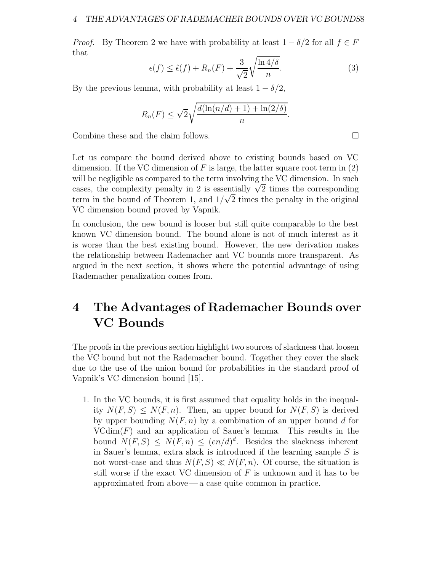*Proof.* By Theorem 2 we have with probability at least  $1 - \delta/2$  for all  $f \in F$ that

$$
\epsilon(f) \le \hat{\epsilon}(f) + R_n(F) + \frac{3}{\sqrt{2}} \sqrt{\frac{\ln 4/\delta}{n}}.
$$
\n(3)

By the previous lemma, with probability at least  $1 - \delta/2$ ,

$$
R_n(F) \le \sqrt{2} \sqrt{\frac{d(\ln(n/d) + 1) + \ln(2/\delta)}{n}}.
$$

Combine these and the claim follows.

Let us compare the bound derived above to existing bounds based on VC dimension. If the VC dimension of F is large, the latter square root term in  $(2)$ will be negligible as compared to the term involving the VC dimension. In such cases, the complexity penalty in 2 is essentially  $\sqrt{2}$  times the corresponding term in the bound of Theorem 1, and  $1/\sqrt{2}$  times the penalty in the original VC dimension bound proved by Vapnik.

In conclusion, the new bound is looser but still quite comparable to the best known VC dimension bound. The bound alone is not of much interest as it is worse than the best existing bound. However, the new derivation makes the relationship between Rademacher and VC bounds more transparent. As argued in the next section, it shows where the potential advantage of using Rademacher penalization comes from.

## 4 The Advantages of Rademacher Bounds over VC Bounds

The proofs in the previous section highlight two sources of slackness that loosen the VC bound but not the Rademacher bound. Together they cover the slack due to the use of the union bound for probabilities in the standard proof of Vapnik's VC dimension bound [15].

1. In the VC bounds, it is first assumed that equality holds in the inequality  $N(F, S) \leq N(F, n)$ . Then, an upper bound for  $N(F, S)$  is derived by upper bounding  $N(F, n)$  by a combination of an upper bound d for  $VCdim(F)$  and an application of Sauer's lemma. This results in the bound  $N(F, S) \leq N(F, n) \leq (en/d)^d$ . Besides the slackness inherent in Sauer's lemma, extra slack is introduced if the learning sample S is not worst-case and thus  $N(F, S) \ll N(F, n)$ . Of course, the situation is still worse if the exact VC dimension of  $F$  is unknown and it has to be approximated from above— a case quite common in practice.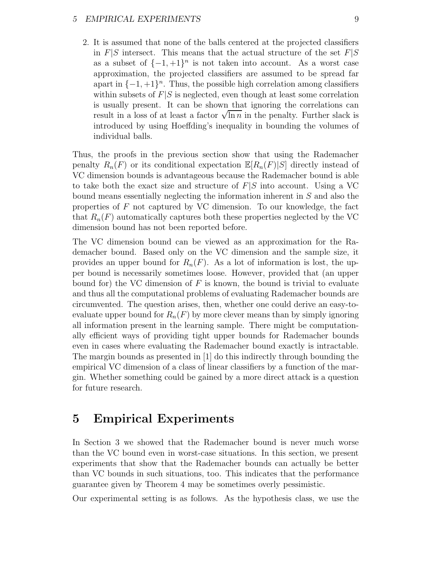#### 5 EMPIRICAL EXPERIMENTS 9

2. It is assumed that none of the balls centered at the projected classifiers in  $F|S$  intersect. This means that the actual structure of the set  $F|S$ as a subset of  $\{-1, +1\}^n$  is not taken into account. As a worst case approximation, the projected classifiers are assumed to be spread far apart in  $\{-1, +1\}^n$ . Thus, the possible high correlation among classifiers within subsets of  $F|S$  is neglected, even though at least some correlation is usually present. It can be shown that ignoring the correlations can result in a loss of at least a factor  $\sqrt{\ln n}$  in the penalty. Further slack is introduced by using Hoeffding's inequality in bounding the volumes of individual balls.

Thus, the proofs in the previous section show that using the Rademacher penalty  $R_n(F)$  or its conditional expectation  $\mathbb{E}[R_n(F)|S]$  directly instead of VC dimension bounds is advantageous because the Rademacher bound is able to take both the exact size and structure of  $F|S$  into account. Using a VC bound means essentially neglecting the information inherent in S and also the properties of  $F$  not captured by VC dimension. To our knowledge, the fact that  $R_n(F)$  automatically captures both these properties neglected by the VC dimension bound has not been reported before.

The VC dimension bound can be viewed as an approximation for the Rademacher bound. Based only on the VC dimension and the sample size, it provides an upper bound for  $R_n(F)$ . As a lot of information is lost, the upper bound is necessarily sometimes loose. However, provided that (an upper bound for) the VC dimension of  $F$  is known, the bound is trivial to evaluate and thus all the computational problems of evaluating Rademacher bounds are circumvented. The question arises, then, whether one could derive an easy-toevaluate upper bound for  $R_n(F)$  by more clever means than by simply ignoring all information present in the learning sample. There might be computationally efficient ways of providing tight upper bounds for Rademacher bounds even in cases where evaluating the Rademacher bound exactly is intractable. The margin bounds as presented in [1] do this indirectly through bounding the empirical VC dimension of a class of linear classifiers by a function of the margin. Whether something could be gained by a more direct attack is a question for future research.

### 5 Empirical Experiments

In Section 3 we showed that the Rademacher bound is never much worse than the VC bound even in worst-case situations. In this section, we present experiments that show that the Rademacher bounds can actually be better than VC bounds in such situations, too. This indicates that the performance guarantee given by Theorem 4 may be sometimes overly pessimistic.

Our experimental setting is as follows. As the hypothesis class, we use the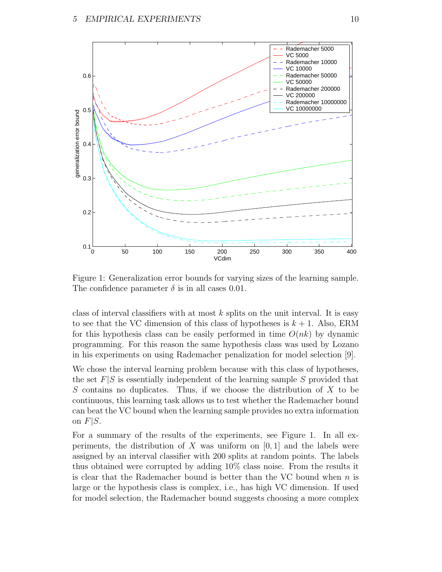

Figure 1: Generalization error bounds for varying sizes of the learning sample. The confidence parameter  $\delta$  is in all cases 0.01.

class of interval classifiers with at most  $k$  splits on the unit interval. It is easy to see that the VC dimension of this class of hypotheses is  $k + 1$ . Also, ERM for this hypothesis class can be easily performed in time  $O(nk)$  by dynamic programming. For this reason the same hypothesis class was used by Lozano in his experiments on using Rademacher penalization for model selection [9].

We chose the interval learning problem because with this class of hypotheses, the set  $F|S$  is essentially independent of the learning sample S provided that S contains no duplicates. Thus, if we choose the distribution of  $X$  to be continuous, this learning task allows us to test whether the Rademacher bound can beat the VC bound when the learning sample provides no extra information on  $F|S$ .

For a summary of the results of the experiments, see Figure 1. In all experiments, the distribution of X was uniform on  $[0, 1]$  and the labels were assigned by an interval classifier with 200 splits at random points. The labels thus obtained were corrupted by adding 10% class noise. From the results it is clear that the Rademacher bound is better than the VC bound when  $n$  is large or the hypothesis class is complex, i.e., has high VC dimension. If used for model selection, the Rademacher bound suggests choosing a more complex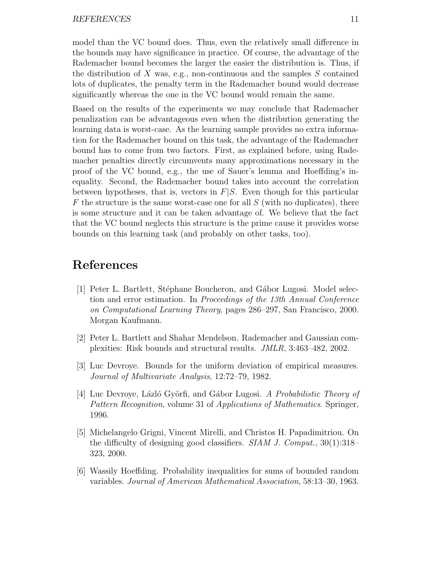model than the VC bound does. Thus, even the relatively small difference in the bounds may have significance in practice. Of course, the advantage of the Rademacher bound becomes the larger the easier the distribution is. Thus, if the distribution of X was, e.g., non-continuous and the samples  $S$  contained lots of duplicates, the penalty term in the Rademacher bound would decrease significantly whereas the one in the VC bound would remain the same.

Based on the results of the experiments we may conclude that Rademacher penalization can be advantageous even when the distribution generating the learning data is worst-case. As the learning sample provides no extra information for the Rademacher bound on this task, the advantage of the Rademacher bound has to come from two factors. First, as explained before, using Rademacher penalties directly circumvents many approximations necessary in the proof of the VC bound, e.g., the use of Sauer's lemma and Hoeffding's inequality. Second, the Rademacher bound takes into account the correlation between hypotheses, that is, vectors in  $F|S$ . Even though for this particular  $F$  the structure is the same worst-case one for all  $S$  (with no duplicates), there is some structure and it can be taken advantage of. We believe that the fact that the VC bound neglects this structure is the prime cause it provides worse bounds on this learning task (and probably on other tasks, too).

### References

- [1] Peter L. Bartlett, Stéphane Boucheron, and Gábor Lugosi. Model selection and error estimation. In Proceedings of the 13th Annual Conference on Computational Learning Theory, pages 286–297, San Francisco, 2000. Morgan Kaufmann.
- [2] Peter L. Bartlett and Shahar Mendelson. Rademacher and Gaussian complexities: Risk bounds and structural results. JMLR, 3:463–482, 2002.
- [3] Luc Devroye. Bounds for the uniform deviation of empirical measures. Journal of Multivariate Analysis, 12:72–79, 1982.
- [4] Luc Devroye, Lázló Györfi, and Gábor Lugosi. A Probabilistic Theory of Pattern Recognition, volume 31 of Applications of Mathematics. Springer, 1996.
- [5] Michelangelo Grigni, Vincent Mirelli, and Christos H. Papadimitriou. On the difficulty of designing good classifiers. SIAM J. Comput., 30(1):318– 323, 2000.
- [6] Wassily Hoeffding. Probability inequalities for sums of bounded random variables. Journal of American Mathematical Association, 58:13–30, 1963.